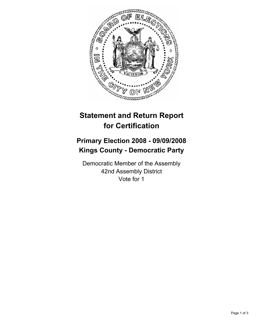

## **Statement and Return Report for Certification**

## **Primary Election 2008 - 09/09/2008 Kings County - Democratic Party**

Democratic Member of the Assembly 42nd Assembly District Vote for 1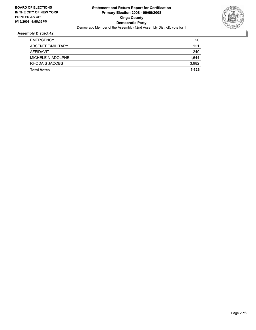

## **Assembly District 42**

| <b>Total Votes</b> | 5,626 |
|--------------------|-------|
| RHODA S JACOBS     | 3,982 |
| MICHELE N ADOLPHE  | 1,644 |
| AFFIDAVIT          | 240   |
| ABSENTEE/MILITARY  | 121   |
| <b>EMERGENCY</b>   | 20    |